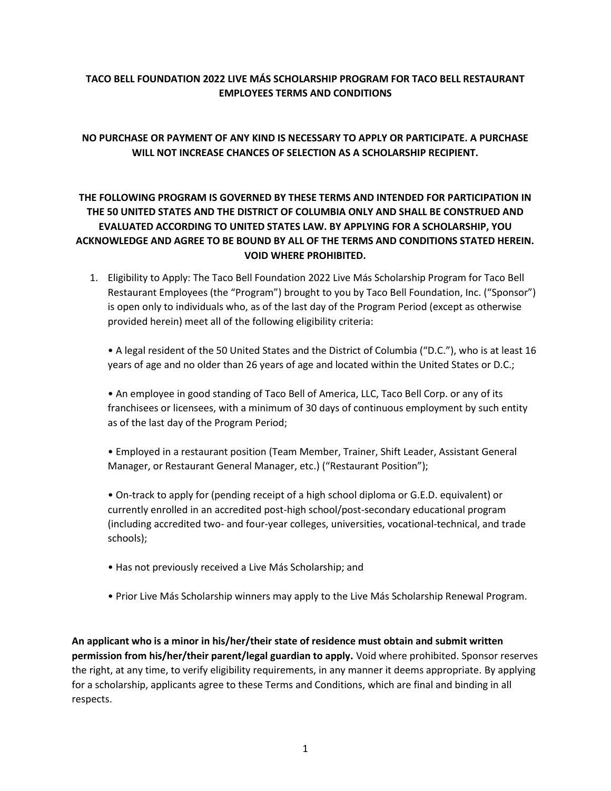## **TACO BELL FOUNDATION 2022 LIVE MÁS SCHOLARSHIP PROGRAM FOR TACO BELL RESTAURANT EMPLOYEES TERMS AND CONDITIONS**

## **NO PURCHASE OR PAYMENT OF ANY KIND IS NECESSARY TO APPLY OR PARTICIPATE. A PURCHASE WILL NOT INCREASE CHANCES OF SELECTION AS A SCHOLARSHIP RECIPIENT.**

## **THE FOLLOWING PROGRAM IS GOVERNED BY THESE TERMS AND INTENDED FOR PARTICIPATION IN THE 50 UNITED STATES AND THE DISTRICT OF COLUMBIA ONLY AND SHALL BE CONSTRUED AND EVALUATED ACCORDING TO UNITED STATES LAW. BY APPLYING FOR A SCHOLARSHIP, YOU ACKNOWLEDGE AND AGREE TO BE BOUND BY ALL OF THE TERMS AND CONDITIONS STATED HEREIN. VOID WHERE PROHIBITED.**

1. Eligibility to Apply: The Taco Bell Foundation 2022 Live Más Scholarship Program for Taco Bell Restaurant Employees (the "Program") brought to you by Taco Bell Foundation, Inc. ("Sponsor") is open only to individuals who, as of the last day of the Program Period (except as otherwise provided herein) meet all of the following eligibility criteria:

• A legal resident of the 50 United States and the District of Columbia ("D.C."), who is at least 16 years of age and no older than 26 years of age and located within the United States or D.C.;

• An employee in good standing of Taco Bell of America, LLC, Taco Bell Corp. or any of its franchisees or licensees, with a minimum of 30 days of continuous employment by such entity as of the last day of the Program Period;

• Employed in a restaurant position (Team Member, Trainer, Shift Leader, Assistant General Manager, or Restaurant General Manager, etc.) ("Restaurant Position");

• On-track to apply for (pending receipt of a high school diploma or G.E.D. equivalent) or currently enrolled in an accredited post-high school/post-secondary educational program (including accredited two- and four-year colleges, universities, vocational-technical, and trade schools);

- Has not previously received a Live Más Scholarship; and
- Prior Live Más Scholarship winners may apply to the Live Más Scholarship Renewal Program.

**An applicant who is a minor in his/her/their state of residence must obtain and submit written permission from his/her/their parent/legal guardian to apply.** Void where prohibited. Sponsor reserves the right, at any time, to verify eligibility requirements, in any manner it deems appropriate. By applying for a scholarship, applicants agree to these Terms and Conditions, which are final and binding in all respects.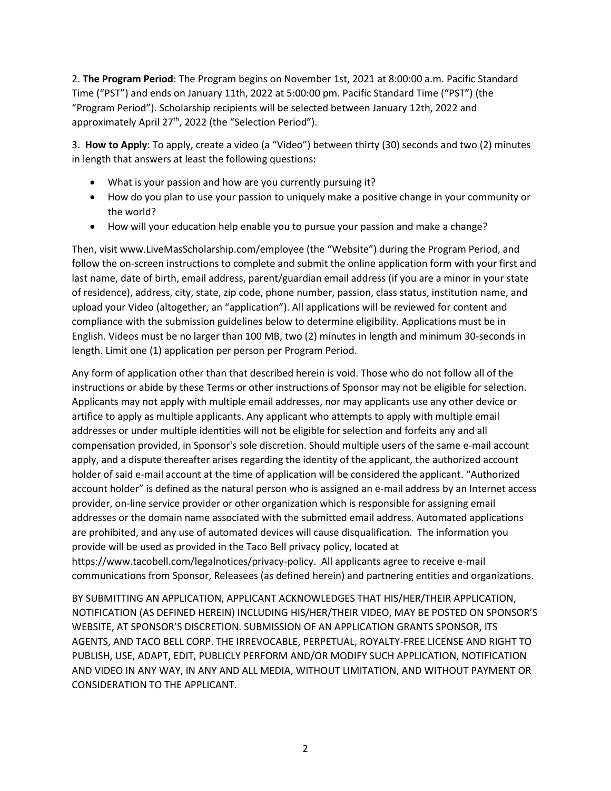2. **The Program Period**: The Program begins on November 1st, 2021 at 8:00:00 a.m. Pacific Standard Time ("PST") and ends on January 11th, 2022 at 5:00:00 pm. Pacific Standard Time ("PST") (the "Program Period"). Scholarship recipients will be selected between January 12th, 2022 and approximately April 27<sup>th</sup>, 2022 (the "Selection Period").

3. **How to Apply**: To apply, create a video (a "Video") between thirty (30) seconds and two (2) minutes in length that answers at least the following questions:

- What is your passion and how are you currently pursuing it?
- How do you plan to use your passion to uniquely make a positive change in your community or the world?
- How will your education help enable you to pursue your passion and make a change?

Then, visit www.LiveMasScholarship.com/employee (the "Website") during the Program Period, and follow the on-screen instructions to complete and submit the online application form with your first and last name, date of birth, email address, parent/guardian email address (if you are a minor in your state of residence), address, city, state, zip code, phone number, passion, class status, institution name, and upload your Video (altogether, an "application"). All applications will be reviewed for content and compliance with the submission guidelines below to determine eligibility. Applications must be in English. Videos must be no larger than 100 MB, two (2) minutes in length and minimum 30-seconds in length. Limit one (1) application per person per Program Period.

Any form of application other than that described herein is void. Those who do not follow all of the instructions or abide by these Terms or other instructions of Sponsor may not be eligible for selection. Applicants may not apply with multiple email addresses, nor may applicants use any other device or artifice to apply as multiple applicants. Any applicant who attempts to apply with multiple email addresses or under multiple identities will not be eligible for selection and forfeits any and all compensation provided, in Sponsor's sole discretion. Should multiple users of the same e-mail account apply, and a dispute thereafter arises regarding the identity of the applicant, the authorized account holder of said e-mail account at the time of application will be considered the applicant. "Authorized account holder" is defined as the natural person who is assigned an e-mail address by an Internet access provider, on-line service provider or other organization which is responsible for assigning email addresses or the domain name associated with the submitted email address. Automated applications are prohibited, and any use of automated devices will cause disqualification. The information you provide will be used as provided in the Taco Bell privacy policy, located at https://www.tacobell.com/legalnotices/privacy-policy. All applicants agree to receive e-mail communications from Sponsor, Releasees (as defined herein) and partnering entities and organizations.

BY SUBMITTING AN APPLICATION, APPLICANT ACKNOWLEDGES THAT HIS/HER/THEIR APPLICATION, NOTIFICATION (AS DEFINED HEREIN) INCLUDING HIS/HER/THEIR VIDEO, MAY BE POSTED ON SPONSOR'S WEBSITE, AT SPONSOR'S DISCRETION. SUBMISSION OF AN APPLICATION GRANTS SPONSOR, ITS AGENTS, AND TACO BELL CORP. THE IRREVOCABLE, PERPETUAL, ROYALTY-FREE LICENSE AND RIGHT TO PUBLISH, USE, ADAPT, EDIT, PUBLICLY PERFORM AND/OR MODIFY SUCH APPLICATION, NOTIFICATION AND VIDEO IN ANY WAY, IN ANY AND ALL MEDIA, WITHOUT LIMITATION, AND WITHOUT PAYMENT OR CONSIDERATION TO THE APPLICANT.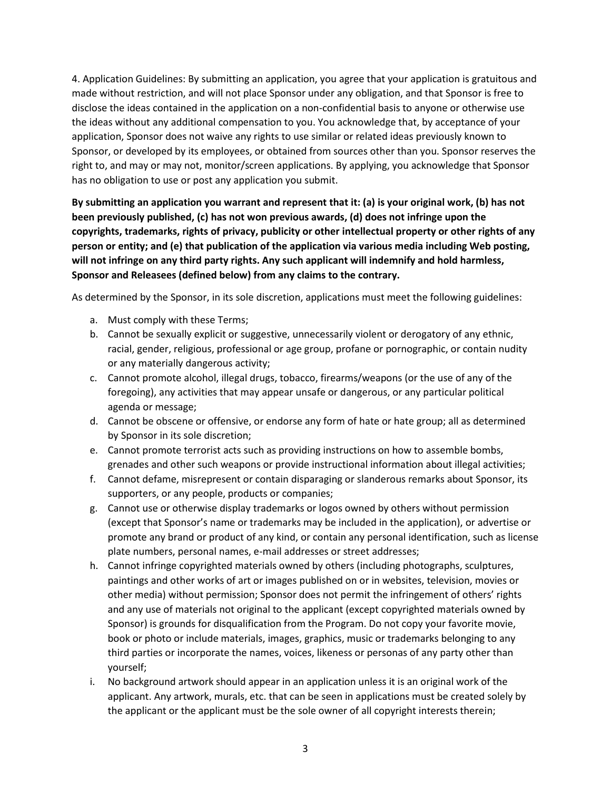4. Application Guidelines: By submitting an application, you agree that your application is gratuitous and made without restriction, and will not place Sponsor under any obligation, and that Sponsor is free to disclose the ideas contained in the application on a non-confidential basis to anyone or otherwise use the ideas without any additional compensation to you. You acknowledge that, by acceptance of your application, Sponsor does not waive any rights to use similar or related ideas previously known to Sponsor, or developed by its employees, or obtained from sources other than you. Sponsor reserves the right to, and may or may not, monitor/screen applications. By applying, you acknowledge that Sponsor has no obligation to use or post any application you submit.

**By submitting an application you warrant and represent that it: (a) is your original work, (b) has not been previously published, (c) has not won previous awards, (d) does not infringe upon the copyrights, trademarks, rights of privacy, publicity or other intellectual property or other rights of any person or entity; and (e) that publication of the application via various media including Web posting, will not infringe on any third party rights. Any such applicant will indemnify and hold harmless, Sponsor and Releasees (defined below) from any claims to the contrary.**

As determined by the Sponsor, in its sole discretion, applications must meet the following guidelines:

- a. Must comply with these Terms;
- b. Cannot be sexually explicit or suggestive, unnecessarily violent or derogatory of any ethnic, racial, gender, religious, professional or age group, profane or pornographic, or contain nudity or any materially dangerous activity;
- c. Cannot promote alcohol, illegal drugs, tobacco, firearms/weapons (or the use of any of the foregoing), any activities that may appear unsafe or dangerous, or any particular political agenda or message;
- d. Cannot be obscene or offensive, or endorse any form of hate or hate group; all as determined by Sponsor in its sole discretion;
- e. Cannot promote terrorist acts such as providing instructions on how to assemble bombs, grenades and other such weapons or provide instructional information about illegal activities;
- f. Cannot defame, misrepresent or contain disparaging or slanderous remarks about Sponsor, its supporters, or any people, products or companies;
- g. Cannot use or otherwise display trademarks or logos owned by others without permission (except that Sponsor's name or trademarks may be included in the application), or advertise or promote any brand or product of any kind, or contain any personal identification, such as license plate numbers, personal names, e-mail addresses or street addresses;
- h. Cannot infringe copyrighted materials owned by others (including photographs, sculptures, paintings and other works of art or images published on or in websites, television, movies or other media) without permission; Sponsor does not permit the infringement of others' rights and any use of materials not original to the applicant (except copyrighted materials owned by Sponsor) is grounds for disqualification from the Program. Do not copy your favorite movie, book or photo or include materials, images, graphics, music or trademarks belonging to any third parties or incorporate the names, voices, likeness or personas of any party other than yourself;
- i. No background artwork should appear in an application unless it is an original work of the applicant. Any artwork, murals, etc. that can be seen in applications must be created solely by the applicant or the applicant must be the sole owner of all copyright interests therein;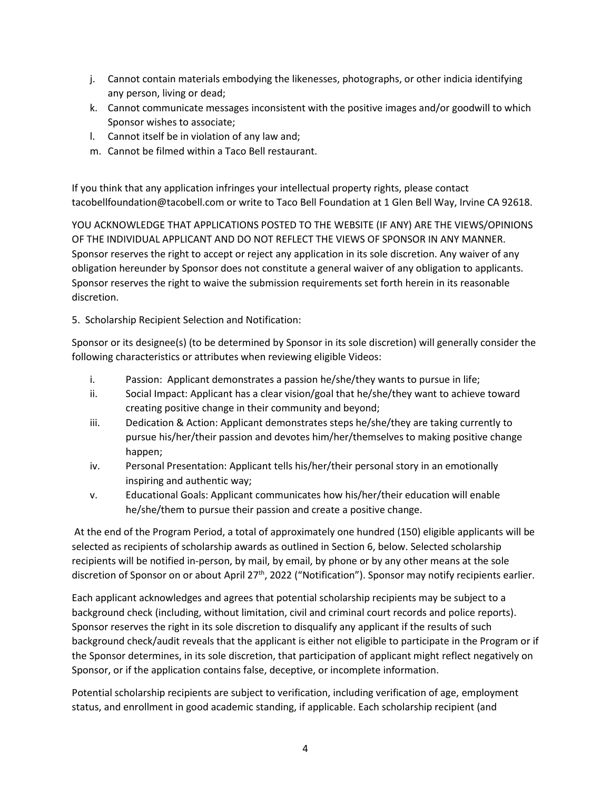- j. Cannot contain materials embodying the likenesses, photographs, or other indicia identifying any person, living or dead;
- k. Cannot communicate messages inconsistent with the positive images and/or goodwill to which Sponsor wishes to associate;
- l. Cannot itself be in violation of any law and;
- m. Cannot be filmed within a Taco Bell restaurant.

If you think that any application infringes your intellectual property rights, please contact tacobellfoundation@tacobell.com or write to Taco Bell Foundation at 1 Glen Bell Way, Irvine CA 92618.

YOU ACKNOWLEDGE THAT APPLICATIONS POSTED TO THE WEBSITE (IF ANY) ARE THE VIEWS/OPINIONS OF THE INDIVIDUAL APPLICANT AND DO NOT REFLECT THE VIEWS OF SPONSOR IN ANY MANNER. Sponsor reserves the right to accept or reject any application in its sole discretion. Any waiver of any obligation hereunder by Sponsor does not constitute a general waiver of any obligation to applicants. Sponsor reserves the right to waive the submission requirements set forth herein in its reasonable discretion.

5. Scholarship Recipient Selection and Notification:

Sponsor or its designee(s) (to be determined by Sponsor in its sole discretion) will generally consider the following characteristics or attributes when reviewing eligible Videos:

- i. Passion: Applicant demonstrates a passion he/she/they wants to pursue in life;
- ii. Social Impact: Applicant has a clear vision/goal that he/she/they want to achieve toward creating positive change in their community and beyond;
- iii. Dedication & Action: Applicant demonstrates steps he/she/they are taking currently to pursue his/her/their passion and devotes him/her/themselves to making positive change happen;
- iv. Personal Presentation: Applicant tells his/her/their personal story in an emotionally inspiring and authentic way;
- v. Educational Goals: Applicant communicates how his/her/their education will enable he/she/them to pursue their passion and create a positive change.

At the end of the Program Period, a total of approximately one hundred (150) eligible applicants will be selected as recipients of scholarship awards as outlined in Section 6, below. Selected scholarship recipients will be notified in-person, by mail, by email, by phone or by any other means at the sole discretion of Sponsor on or about April 27<sup>th</sup>, 2022 ("Notification"). Sponsor may notify recipients earlier.

Each applicant acknowledges and agrees that potential scholarship recipients may be subject to a background check (including, without limitation, civil and criminal court records and police reports). Sponsor reserves the right in its sole discretion to disqualify any applicant if the results of such background check/audit reveals that the applicant is either not eligible to participate in the Program or if the Sponsor determines, in its sole discretion, that participation of applicant might reflect negatively on Sponsor, or if the application contains false, deceptive, or incomplete information.

Potential scholarship recipients are subject to verification, including verification of age, employment status, and enrollment in good academic standing, if applicable. Each scholarship recipient (and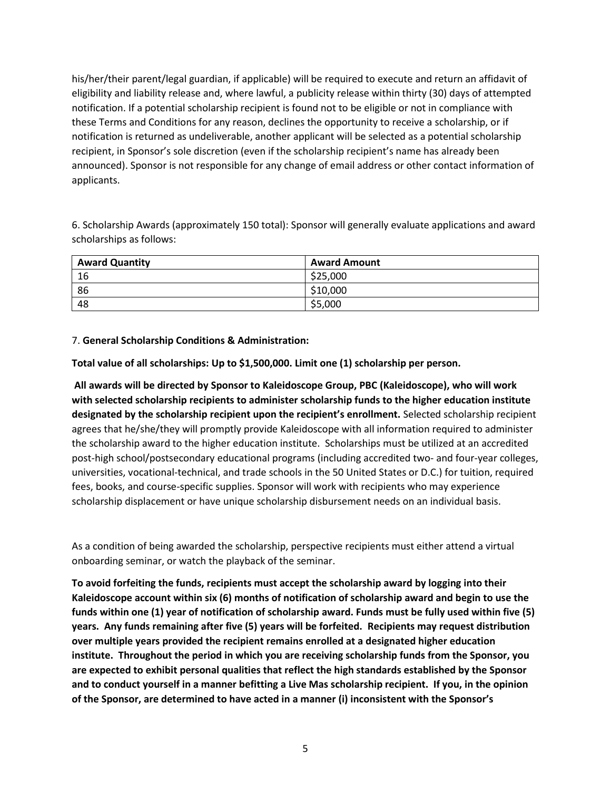his/her/their parent/legal guardian, if applicable) will be required to execute and return an affidavit of eligibility and liability release and, where lawful, a publicity release within thirty (30) days of attempted notification. If a potential scholarship recipient is found not to be eligible or not in compliance with these Terms and Conditions for any reason, declines the opportunity to receive a scholarship, or if notification is returned as undeliverable, another applicant will be selected as a potential scholarship recipient, in Sponsor's sole discretion (even if the scholarship recipient's name has already been announced). Sponsor is not responsible for any change of email address or other contact information of applicants.

6. Scholarship Awards (approximately 150 total): Sponsor will generally evaluate applications and award scholarships as follows:

| <b>Award Quantity</b> | <b>Award Amount</b> |
|-----------------------|---------------------|
| -16                   | \$25,000            |
| 86                    | \$10,000            |
| 48                    | \$5,000             |

## 7. **General Scholarship Conditions & Administration:**

**Total value of all scholarships: Up to \$1,500,000. Limit one (1) scholarship per person.**

**All awards will be directed by Sponsor to Kaleidoscope Group, PBC (Kaleidoscope), who will work with selected scholarship recipients to administer scholarship funds to the higher education institute designated by the scholarship recipient upon the recipient's enrollment.** Selected scholarship recipient agrees that he/she/they will promptly provide Kaleidoscope with all information required to administer the scholarship award to the higher education institute. Scholarships must be utilized at an accredited post-high school/postsecondary educational programs (including accredited two- and four-year colleges, universities, vocational-technical, and trade schools in the 50 United States or D.C.) for tuition, required fees, books, and course-specific supplies. Sponsor will work with recipients who may experience scholarship displacement or have unique scholarship disbursement needs on an individual basis.

As a condition of being awarded the scholarship, perspective recipients must either attend a virtual onboarding seminar, or watch the playback of the seminar.

**To avoid forfeiting the funds, recipients must accept the scholarship award by logging into their Kaleidoscope account within six (6) months of notification of scholarship award and begin to use the funds within one (1) year of notification of scholarship award. Funds must be fully used within five (5) years. Any funds remaining after five (5) years will be forfeited. Recipients may request distribution over multiple years provided the recipient remains enrolled at a designated higher education institute. Throughout the period in which you are receiving scholarship funds from the Sponsor, you are expected to exhibit personal qualities that reflect the high standards established by the Sponsor and to conduct yourself in a manner befitting a Live Mas scholarship recipient. If you, in the opinion of the Sponsor, are determined to have acted in a manner (i) inconsistent with the Sponsor's**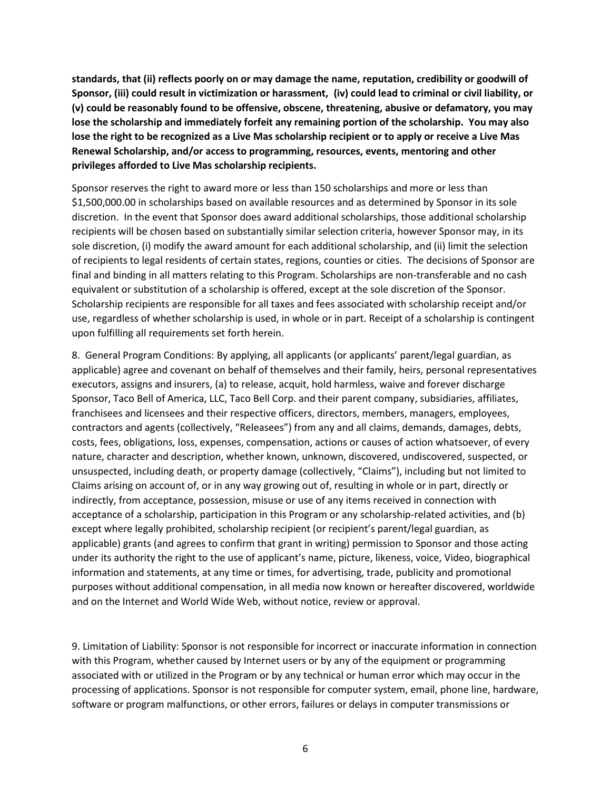**standards, that (ii) reflects poorly on or may damage the name, reputation, credibility or goodwill of Sponsor, (iii) could result in victimization or harassment, (iv) could lead to criminal or civil liability, or (v) could be reasonably found to be offensive, obscene, threatening, abusive or defamatory, you may lose the scholarship and immediately forfeit any remaining portion of the scholarship. You may also lose the right to be recognized as a Live Mas scholarship recipient or to apply or receive a Live Mas Renewal Scholarship, and/or access to programming, resources, events, mentoring and other privileges afforded to Live Mas scholarship recipients.**

Sponsor reserves the right to award more or less than 150 scholarships and more or less than \$1,500,000.00 in scholarships based on available resources and as determined by Sponsor in its sole discretion. In the event that Sponsor does award additional scholarships, those additional scholarship recipients will be chosen based on substantially similar selection criteria, however Sponsor may, in its sole discretion, (i) modify the award amount for each additional scholarship, and (ii) limit the selection of recipients to legal residents of certain states, regions, counties or cities. The decisions of Sponsor are final and binding in all matters relating to this Program. Scholarships are non-transferable and no cash equivalent or substitution of a scholarship is offered, except at the sole discretion of the Sponsor. Scholarship recipients are responsible for all taxes and fees associated with scholarship receipt and/or use, regardless of whether scholarship is used, in whole or in part. Receipt of a scholarship is contingent upon fulfilling all requirements set forth herein.

8. General Program Conditions: By applying, all applicants (or applicants' parent/legal guardian, as applicable) agree and covenant on behalf of themselves and their family, heirs, personal representatives executors, assigns and insurers, (a) to release, acquit, hold harmless, waive and forever discharge Sponsor, Taco Bell of America, LLC, Taco Bell Corp. and their parent company, subsidiaries, affiliates, franchisees and licensees and their respective officers, directors, members, managers, employees, contractors and agents (collectively, "Releasees") from any and all claims, demands, damages, debts, costs, fees, obligations, loss, expenses, compensation, actions or causes of action whatsoever, of every nature, character and description, whether known, unknown, discovered, undiscovered, suspected, or unsuspected, including death, or property damage (collectively, "Claims"), including but not limited to Claims arising on account of, or in any way growing out of, resulting in whole or in part, directly or indirectly, from acceptance, possession, misuse or use of any items received in connection with acceptance of a scholarship, participation in this Program or any scholarship-related activities, and (b) except where legally prohibited, scholarship recipient (or recipient's parent/legal guardian, as applicable) grants (and agrees to confirm that grant in writing) permission to Sponsor and those acting under its authority the right to the use of applicant's name, picture, likeness, voice, Video, biographical information and statements, at any time or times, for advertising, trade, publicity and promotional purposes without additional compensation, in all media now known or hereafter discovered, worldwide and on the Internet and World Wide Web, without notice, review or approval.

9. Limitation of Liability: Sponsor is not responsible for incorrect or inaccurate information in connection with this Program, whether caused by Internet users or by any of the equipment or programming associated with or utilized in the Program or by any technical or human error which may occur in the processing of applications. Sponsor is not responsible for computer system, email, phone line, hardware, software or program malfunctions, or other errors, failures or delays in computer transmissions or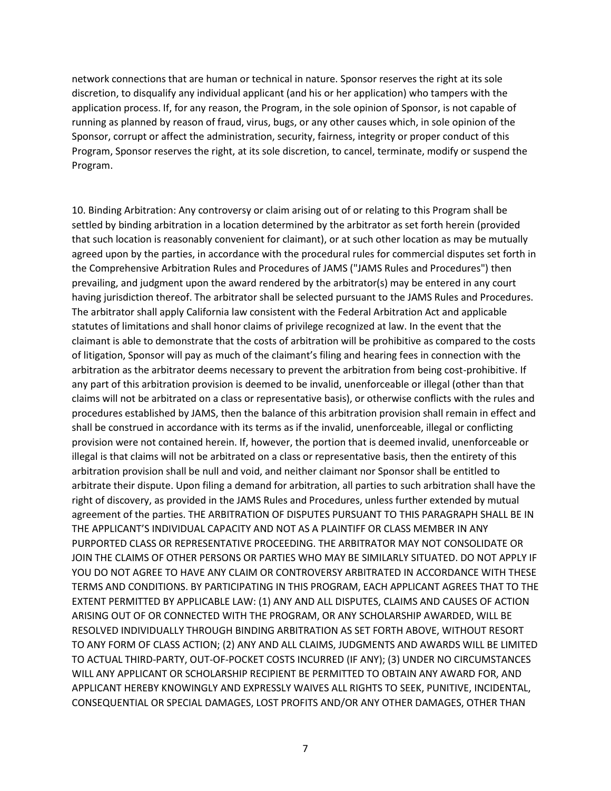network connections that are human or technical in nature. Sponsor reserves the right at its sole discretion, to disqualify any individual applicant (and his or her application) who tampers with the application process. If, for any reason, the Program, in the sole opinion of Sponsor, is not capable of running as planned by reason of fraud, virus, bugs, or any other causes which, in sole opinion of the Sponsor, corrupt or affect the administration, security, fairness, integrity or proper conduct of this Program, Sponsor reserves the right, at its sole discretion, to cancel, terminate, modify or suspend the Program.

10. Binding Arbitration: Any controversy or claim arising out of or relating to this Program shall be settled by binding arbitration in a location determined by the arbitrator as set forth herein (provided that such location is reasonably convenient for claimant), or at such other location as may be mutually agreed upon by the parties, in accordance with the procedural rules for commercial disputes set forth in the Comprehensive Arbitration Rules and Procedures of JAMS ("JAMS Rules and Procedures") then prevailing, and judgment upon the award rendered by the arbitrator(s) may be entered in any court having jurisdiction thereof. The arbitrator shall be selected pursuant to the JAMS Rules and Procedures. The arbitrator shall apply California law consistent with the Federal Arbitration Act and applicable statutes of limitations and shall honor claims of privilege recognized at law. In the event that the claimant is able to demonstrate that the costs of arbitration will be prohibitive as compared to the costs of litigation, Sponsor will pay as much of the claimant's filing and hearing fees in connection with the arbitration as the arbitrator deems necessary to prevent the arbitration from being cost-prohibitive. If any part of this arbitration provision is deemed to be invalid, unenforceable or illegal (other than that claims will not be arbitrated on a class or representative basis), or otherwise conflicts with the rules and procedures established by JAMS, then the balance of this arbitration provision shall remain in effect and shall be construed in accordance with its terms as if the invalid, unenforceable, illegal or conflicting provision were not contained herein. If, however, the portion that is deemed invalid, unenforceable or illegal is that claims will not be arbitrated on a class or representative basis, then the entirety of this arbitration provision shall be null and void, and neither claimant nor Sponsor shall be entitled to arbitrate their dispute. Upon filing a demand for arbitration, all parties to such arbitration shall have the right of discovery, as provided in the JAMS Rules and Procedures, unless further extended by mutual agreement of the parties. THE ARBITRATION OF DISPUTES PURSUANT TO THIS PARAGRAPH SHALL BE IN THE APPLICANT'S INDIVIDUAL CAPACITY AND NOT AS A PLAINTIFF OR CLASS MEMBER IN ANY PURPORTED CLASS OR REPRESENTATIVE PROCEEDING. THE ARBITRATOR MAY NOT CONSOLIDATE OR JOIN THE CLAIMS OF OTHER PERSONS OR PARTIES WHO MAY BE SIMILARLY SITUATED. DO NOT APPLY IF YOU DO NOT AGREE TO HAVE ANY CLAIM OR CONTROVERSY ARBITRATED IN ACCORDANCE WITH THESE TERMS AND CONDITIONS. BY PARTICIPATING IN THIS PROGRAM, EACH APPLICANT AGREES THAT TO THE EXTENT PERMITTED BY APPLICABLE LAW: (1) ANY AND ALL DISPUTES, CLAIMS AND CAUSES OF ACTION ARISING OUT OF OR CONNECTED WITH THE PROGRAM, OR ANY SCHOLARSHIP AWARDED, WILL BE RESOLVED INDIVIDUALLY THROUGH BINDING ARBITRATION AS SET FORTH ABOVE, WITHOUT RESORT TO ANY FORM OF CLASS ACTION; (2) ANY AND ALL CLAIMS, JUDGMENTS AND AWARDS WILL BE LIMITED TO ACTUAL THIRD-PARTY, OUT-OF-POCKET COSTS INCURRED (IF ANY); (3) UNDER NO CIRCUMSTANCES WILL ANY APPLICANT OR SCHOLARSHIP RECIPIENT BE PERMITTED TO OBTAIN ANY AWARD FOR, AND APPLICANT HEREBY KNOWINGLY AND EXPRESSLY WAIVES ALL RIGHTS TO SEEK, PUNITIVE, INCIDENTAL, CONSEQUENTIAL OR SPECIAL DAMAGES, LOST PROFITS AND/OR ANY OTHER DAMAGES, OTHER THAN